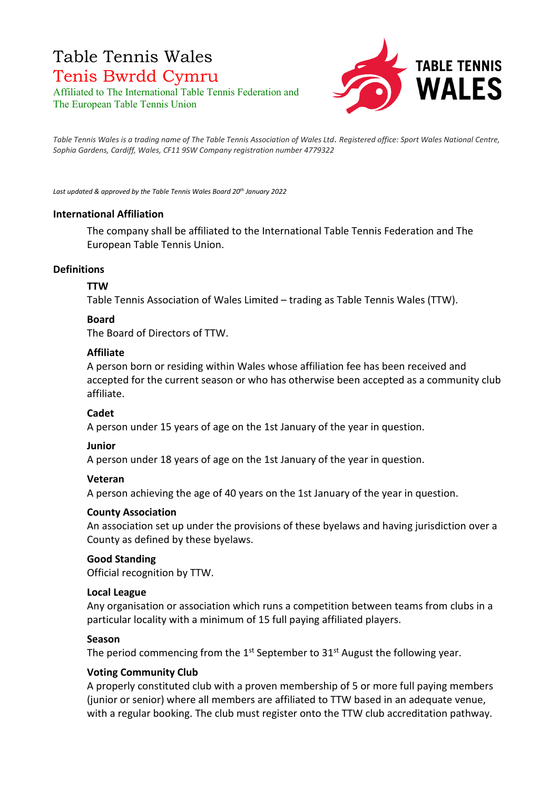## Table Tennis Wales Tenis Bwrdd Cymru Affiliated to The International Table Tennis Federation and

The European Table Tennis Union



*Table Tennis Wales is a trading name of The Table Tennis Association of Wales Ltd*. *Registered office: Sport Wales National Centre, Sophia Gardens, Cardiff, Wales, CF11 9SW Company registration number 4779322* 

*Last updated & approved by the Table Tennis Wales Board 20th January 2022*

#### **International Affiliation**

The company shall be affiliated to the International Table Tennis Federation and The European Table Tennis Union.

#### **Definitions**

#### **TTW**

Table Tennis Association of Wales Limited – trading as Table Tennis Wales (TTW).

#### **Board**

The Board of Directors of TTW.

#### **Affiliate**

A person born or residing within Wales whose affiliation fee has been received and accepted for the current season or who has otherwise been accepted as a community club affiliate.

#### **Cadet**

A person under 15 years of age on the 1st January of the year in question.

#### **Junior**

A person under 18 years of age on the 1st January of the year in question.

#### **Veteran**

A person achieving the age of 40 years on the 1st January of the year in question.

#### **County Association**

An association set up under the provisions of these byelaws and having jurisdiction over a County as defined by these byelaws.

#### **Good Standing**

Official recognition by TTW.

#### **Local League**

Any organisation or association which runs a competition between teams from clubs in a particular locality with a minimum of 15 full paying affiliated players.

#### **Season**

The period commencing from the  $1<sup>st</sup>$  September to  $31<sup>st</sup>$  August the following year.

#### **Voting Community Club**

A properly constituted club with a proven membership of 5 or more full paying members (junior or senior) where all members are affiliated to TTW based in an adequate venue, with a regular booking. The club must register onto the TTW club accreditation pathway.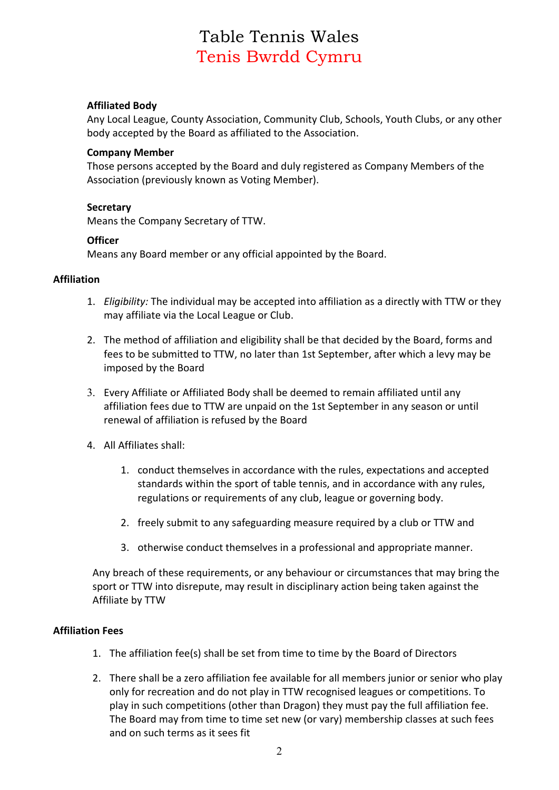## **Affiliated Body**

Any Local League, County Association, Community Club, Schools, Youth Clubs, or any other body accepted by the Board as affiliated to the Association.

#### **Company Member**

Those persons accepted by the Board and duly registered as Company Members of the Association (previously known as Voting Member).

#### **Secretary**

Means the Company Secretary of TTW.

#### **Officer**

Means any Board member or any official appointed by the Board.

#### **Affiliation**

- 1. *Eligibility:* The individual may be accepted into affiliation as a directly with TTW or they may affiliate via the Local League or Club.
- 2. The method of affiliation and eligibility shall be that decided by the Board, forms and fees to be submitted to TTW, no later than 1st September, after which a levy may be imposed by the Board
- 3. Every Affiliate or Affiliated Body shall be deemed to remain affiliated until any affiliation fees due to TTW are unpaid on the 1st September in any season or until renewal of affiliation is refused by the Board
- 4. All Affiliates shall:
	- 1. conduct themselves in accordance with the rules, expectations and accepted standards within the sport of table tennis, and in accordance with any rules, regulations or requirements of any club, league or governing body.
	- 2. freely submit to any safeguarding measure required by a club or TTW and
	- 3. otherwise conduct themselves in a professional and appropriate manner.

Any breach of these requirements, or any behaviour or circumstances that may bring the sport or TTW into disrepute, may result in disciplinary action being taken against the Affiliate by TTW

#### **Affiliation Fees**

- 1. The affiliation fee(s) shall be set from time to time by the Board of Directors
- 2. There shall be a zero affiliation fee available for all members junior or senior who play only for recreation and do not play in TTW recognised leagues or competitions. To play in such competitions (other than Dragon) they must pay the full affiliation fee. The Board may from time to time set new (or vary) membership classes at such fees and on such terms as it sees fit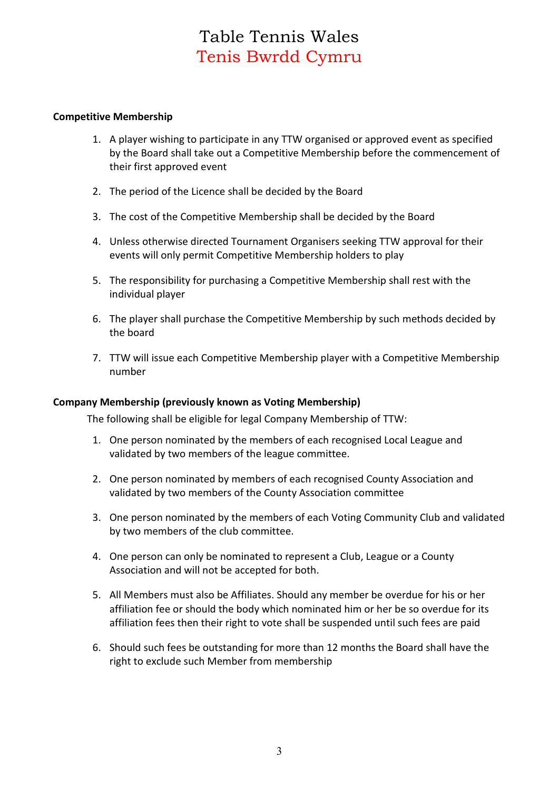### **Competitive Membership**

- 1. A player wishing to participate in any TTW organised or approved event as specified by the Board shall take out a Competitive Membership before the commencement of their first approved event
- 2. The period of the Licence shall be decided by the Board
- 3. The cost of the Competitive Membership shall be decided by the Board
- 4. Unless otherwise directed Tournament Organisers seeking TTW approval for their events will only permit Competitive Membership holders to play
- 5. The responsibility for purchasing a Competitive Membership shall rest with the individual player
- 6. The player shall purchase the Competitive Membership by such methods decided by the board
- 7. TTW will issue each Competitive Membership player with a Competitive Membership number

#### **Company Membership (previously known as Voting Membership)**

The following shall be eligible for legal Company Membership of TTW:

- 1. One person nominated by the members of each recognised Local League and validated by two members of the league committee.
- 2. One person nominated by members of each recognised County Association and validated by two members of the County Association committee
- 3. One person nominated by the members of each Voting Community Club and validated by two members of the club committee.
- 4. One person can only be nominated to represent a Club, League or a County Association and will not be accepted for both.
- 5. All Members must also be Affiliates. Should any member be overdue for his or her affiliation fee or should the body which nominated him or her be so overdue for its affiliation fees then their right to vote shall be suspended until such fees are paid
- 6. Should such fees be outstanding for more than 12 months the Board shall have the right to exclude such Member from membership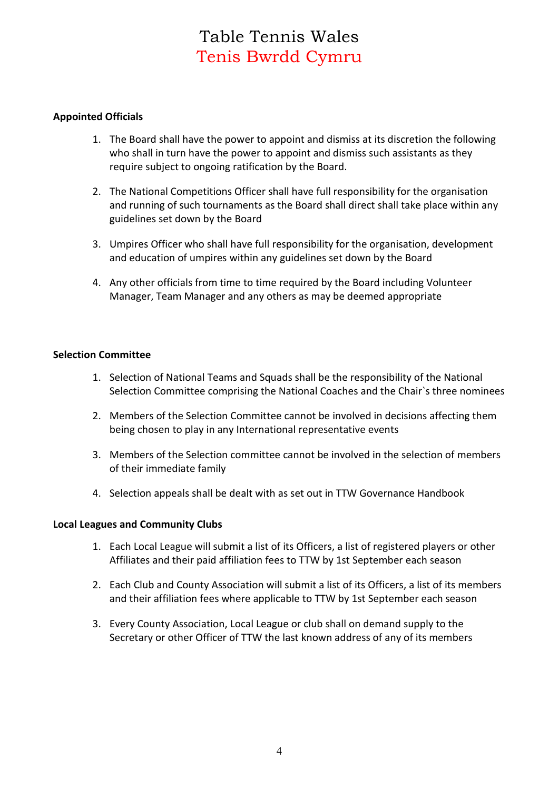## **Appointed Officials**

- 1. The Board shall have the power to appoint and dismiss at its discretion the following who shall in turn have the power to appoint and dismiss such assistants as they require subject to ongoing ratification by the Board.
- 2. The National Competitions Officer shall have full responsibility for the organisation and running of such tournaments as the Board shall direct shall take place within any guidelines set down by the Board
- 3. Umpires Officer who shall have full responsibility for the organisation, development and education of umpires within any guidelines set down by the Board
- 4. Any other officials from time to time required by the Board including Volunteer Manager, Team Manager and any others as may be deemed appropriate

### **Selection Committee**

- 1. Selection of National Teams and Squads shall be the responsibility of the National Selection Committee comprising the National Coaches and the Chair`s three nominees
- 2. Members of the Selection Committee cannot be involved in decisions affecting them being chosen to play in any International representative events
- 3. Members of the Selection committee cannot be involved in the selection of members of their immediate family
- 4. Selection appeals shall be dealt with as set out in TTW Governance Handbook

#### **Local Leagues and Community Clubs**

- 1. Each Local League will submit a list of its Officers, a list of registered players or other Affiliates and their paid affiliation fees to TTW by 1st September each season
- 2. Each Club and County Association will submit a list of its Officers, a list of its members and their affiliation fees where applicable to TTW by 1st September each season
- 3. Every County Association, Local League or club shall on demand supply to the Secretary or other Officer of TTW the last known address of any of its members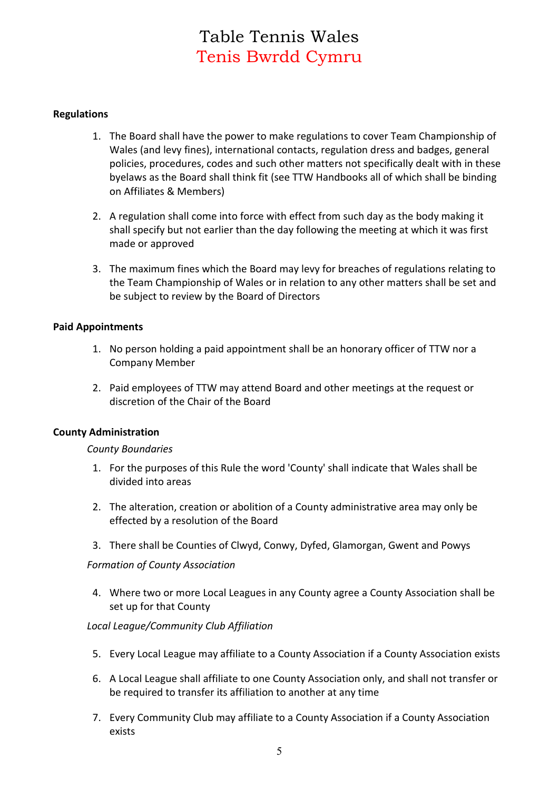### **Regulations**

- 1. The Board shall have the power to make regulations to cover Team Championship of Wales (and levy fines), international contacts, regulation dress and badges, general policies, procedures, codes and such other matters not specifically dealt with in these byelaws as the Board shall think fit (see TTW Handbooks all of which shall be binding on Affiliates & Members)
- 2. A regulation shall come into force with effect from such day as the body making it shall specify but not earlier than the day following the meeting at which it was first made or approved
- 3. The maximum fines which the Board may levy for breaches of regulations relating to the Team Championship of Wales or in relation to any other matters shall be set and be subject to review by the Board of Directors

#### **Paid Appointments**

- 1. No person holding a paid appointment shall be an honorary officer of TTW nor a Company Member
- 2. Paid employees of TTW may attend Board and other meetings at the request or discretion of the Chair of the Board

#### **County Administration**

#### *County Boundaries*

- 1. For the purposes of this Rule the word 'County' shall indicate that Wales shall be divided into areas
- 2. The alteration, creation or abolition of a County administrative area may only be effected by a resolution of the Board
- 3. There shall be Counties of Clwyd, Conwy, Dyfed, Glamorgan, Gwent and Powys

#### *Formation of County Association*

4. Where two or more Local Leagues in any County agree a County Association shall be set up for that County

#### *Local League/Community Club Affiliation*

- 5. Every Local League may affiliate to a County Association if a County Association exists
- 6. A Local League shall affiliate to one County Association only, and shall not transfer or be required to transfer its affiliation to another at any time
- 7. Every Community Club may affiliate to a County Association if a County Association exists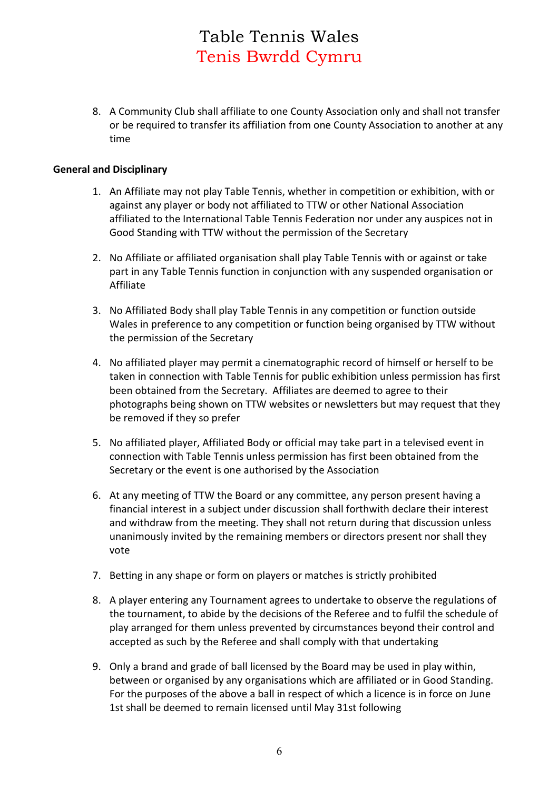8. A Community Club shall affiliate to one County Association only and shall not transfer or be required to transfer its affiliation from one County Association to another at any time

### **General and Disciplinary**

- 1. An Affiliate may not play Table Tennis, whether in competition or exhibition, with or against any player or body not affiliated to TTW or other National Association affiliated to the International Table Tennis Federation nor under any auspices not in Good Standing with TTW without the permission of the Secretary
- 2. No Affiliate or affiliated organisation shall play Table Tennis with or against or take part in any Table Tennis function in conjunction with any suspended organisation or Affiliate
- 3. No Affiliated Body shall play Table Tennis in any competition or function outside Wales in preference to any competition or function being organised by TTW without the permission of the Secretary
- 4. No affiliated player may permit a cinematographic record of himself or herself to be taken in connection with Table Tennis for public exhibition unless permission has first been obtained from the Secretary. Affiliates are deemed to agree to their photographs being shown on TTW websites or newsletters but may request that they be removed if they so prefer
- 5. No affiliated player, Affiliated Body or official may take part in a televised event in connection with Table Tennis unless permission has first been obtained from the Secretary or the event is one authorised by the Association
- 6. At any meeting of TTW the Board or any committee, any person present having a financial interest in a subject under discussion shall forthwith declare their interest and withdraw from the meeting. They shall not return during that discussion unless unanimously invited by the remaining members or directors present nor shall they vote
- 7. Betting in any shape or form on players or matches is strictly prohibited
- 8. A player entering any Tournament agrees to undertake to observe the regulations of the tournament, to abide by the decisions of the Referee and to fulfil the schedule of play arranged for them unless prevented by circumstances beyond their control and accepted as such by the Referee and shall comply with that undertaking
- 9. Only a brand and grade of ball licensed by the Board may be used in play within, between or organised by any organisations which are affiliated or in Good Standing. For the purposes of the above a ball in respect of which a licence is in force on June 1st shall be deemed to remain licensed until May 31st following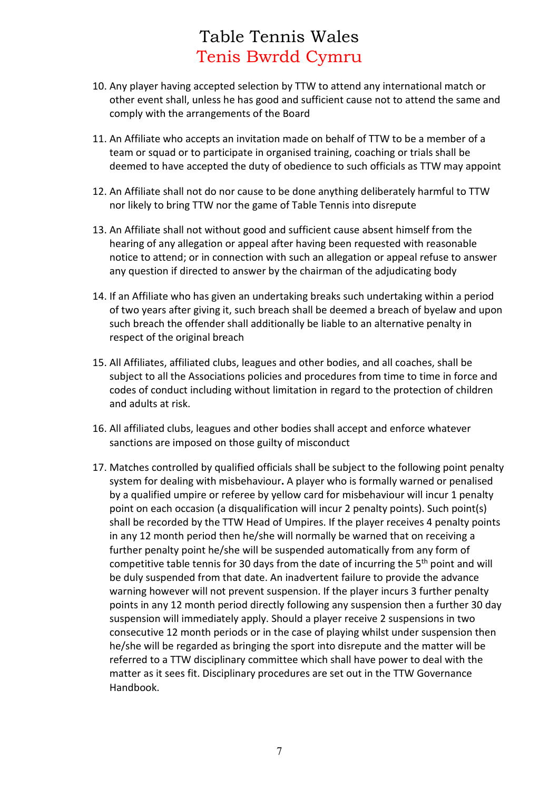- 10. Any player having accepted selection by TTW to attend any international match or other event shall, unless he has good and sufficient cause not to attend the same and comply with the arrangements of the Board
- 11. An Affiliate who accepts an invitation made on behalf of TTW to be a member of a team or squad or to participate in organised training, coaching or trials shall be deemed to have accepted the duty of obedience to such officials as TTW may appoint
- 12. An Affiliate shall not do nor cause to be done anything deliberately harmful to TTW nor likely to bring TTW nor the game of Table Tennis into disrepute
- 13. An Affiliate shall not without good and sufficient cause absent himself from the hearing of any allegation or appeal after having been requested with reasonable notice to attend; or in connection with such an allegation or appeal refuse to answer any question if directed to answer by the chairman of the adjudicating body
- 14. If an Affiliate who has given an undertaking breaks such undertaking within a period of two years after giving it, such breach shall be deemed a breach of byelaw and upon such breach the offender shall additionally be liable to an alternative penalty in respect of the original breach
- 15. All Affiliates, affiliated clubs, leagues and other bodies, and all coaches, shall be subject to all the Associations policies and procedures from time to time in force and codes of conduct including without limitation in regard to the protection of children and adults at risk.
- 16. All affiliated clubs, leagues and other bodies shall accept and enforce whatever sanctions are imposed on those guilty of misconduct
- 17. Matches controlled by qualified officials shall be subject to the following point penalty system for dealing with misbehaviour**.** A player who is formally warned or penalised by a qualified umpire or referee by yellow card for misbehaviour will incur 1 penalty point on each occasion (a disqualification will incur 2 penalty points). Such point(s) shall be recorded by the TTW Head of Umpires. If the player receives 4 penalty points in any 12 month period then he/she will normally be warned that on receiving a further penalty point he/she will be suspended automatically from any form of competitive table tennis for 30 days from the date of incurring the  $5<sup>th</sup>$  point and will be duly suspended from that date. An inadvertent failure to provide the advance warning however will not prevent suspension. If the player incurs 3 further penalty points in any 12 month period directly following any suspension then a further 30 day suspension will immediately apply. Should a player receive 2 suspensions in two consecutive 12 month periods or in the case of playing whilst under suspension then he/she will be regarded as bringing the sport into disrepute and the matter will be referred to a TTW disciplinary committee which shall have power to deal with the matter as it sees fit. Disciplinary procedures are set out in the TTW Governance Handbook.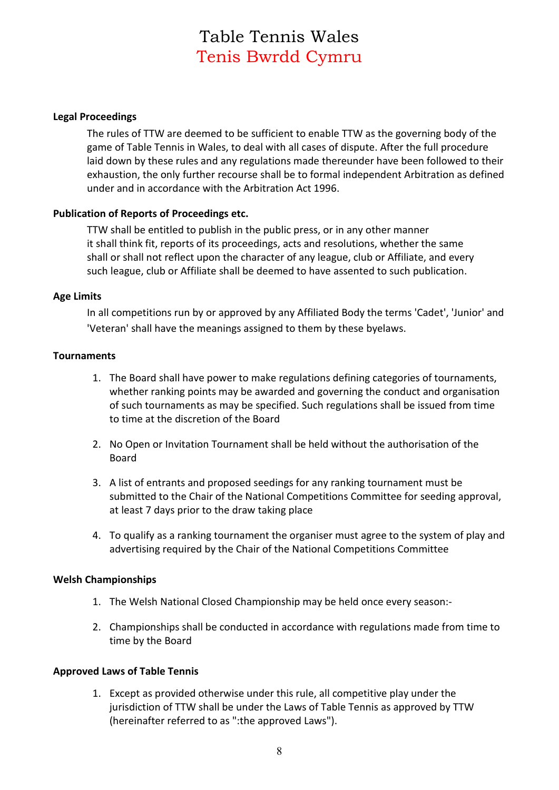### **Legal Proceedings**

The rules of TTW are deemed to be sufficient to enable TTW as the governing body of the game of Table Tennis in Wales, to deal with all cases of dispute. After the full procedure laid down by these rules and any regulations made thereunder have been followed to their exhaustion, the only further recourse shall be to formal independent Arbitration as defined under and in accordance with the Arbitration Act 1996.

### **Publication of Reports of Proceedings etc.**

TTW shall be entitled to publish in the public press, or in any other manner it shall think fit, reports of its proceedings, acts and resolutions, whether the same shall or shall not reflect upon the character of any league, club or Affiliate, and every such league, club or Affiliate shall be deemed to have assented to such publication.

#### **Age Limits**

In all competitions run by or approved by any Affiliated Body the terms 'Cadet', 'Junior' and 'Veteran' shall have the meanings assigned to them by these byelaws.

### **Tournaments**

- 1. The Board shall have power to make regulations defining categories of tournaments, whether ranking points may be awarded and governing the conduct and organisation of such tournaments as may be specified. Such regulations shall be issued from time to time at the discretion of the Board
- 2. No Open or Invitation Tournament shall be held without the authorisation of the Board
- 3. A list of entrants and proposed seedings for any ranking tournament must be submitted to the Chair of the National Competitions Committee for seeding approval, at least 7 days prior to the draw taking place
- 4. To qualify as a ranking tournament the organiser must agree to the system of play and advertising required by the Chair of the National Competitions Committee

## **Welsh Championships**

- 1. The Welsh National Closed Championship may be held once every season:-
- 2. Championships shall be conducted in accordance with regulations made from time to time by the Board

## **Approved Laws of Table Tennis**

1. Except as provided otherwise under this rule, all competitive play under the jurisdiction of TTW shall be under the Laws of Table Tennis as approved by TTW (hereinafter referred to as ":the approved Laws").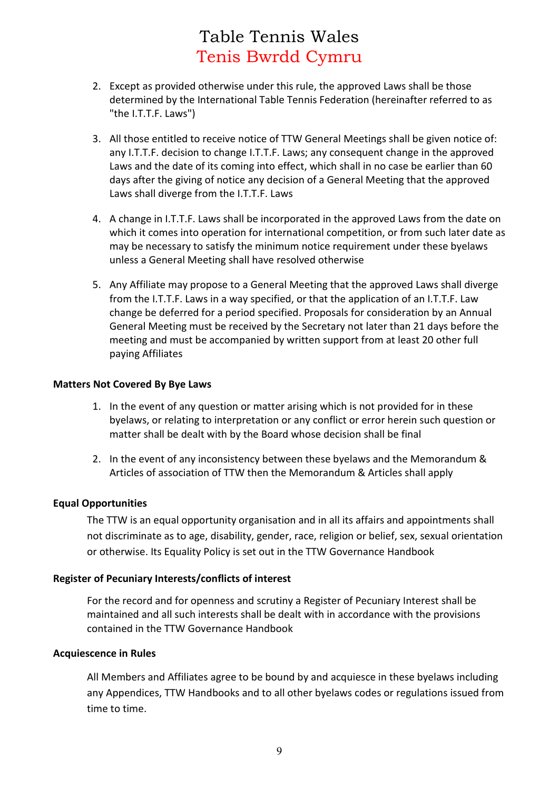- 2. Except as provided otherwise under this rule, the approved Laws shall be those determined by the International Table Tennis Federation (hereinafter referred to as "the I.T.T.F. Laws")
- 3. All those entitled to receive notice of TTW General Meetings shall be given notice of: any I.T.T.F. decision to change I.T.T.F. Laws; any consequent change in the approved Laws and the date of its coming into effect, which shall in no case be earlier than 60 days after the giving of notice any decision of a General Meeting that the approved Laws shall diverge from the I.T.T.F. Laws
- 4. A change in I.T.T.F. Laws shall be incorporated in the approved Laws from the date on which it comes into operation for international competition, or from such later date as may be necessary to satisfy the minimum notice requirement under these byelaws unless a General Meeting shall have resolved otherwise
- 5. Any Affiliate may propose to a General Meeting that the approved Laws shall diverge from the I.T.T.F. Laws in a way specified, or that the application of an I.T.T.F. Law change be deferred for a period specified. Proposals for consideration by an Annual General Meeting must be received by the Secretary not later than 21 days before the meeting and must be accompanied by written support from at least 20 other full paying Affiliates

#### **Matters Not Covered By Bye Laws**

- 1. In the event of any question or matter arising which is not provided for in these byelaws, or relating to interpretation or any conflict or error herein such question or matter shall be dealt with by the Board whose decision shall be final
- 2. In the event of any inconsistency between these byelaws and the Memorandum & Articles of association of TTW then the Memorandum & Articles shall apply

#### **Equal Opportunities**

The TTW is an equal opportunity organisation and in all its affairs and appointments shall not discriminate as to age, disability, gender, race, religion or belief, sex, sexual orientation or otherwise. Its Equality Policy is set out in the TTW Governance Handbook

#### **Register of Pecuniary Interests/conflicts of interest**

For the record and for openness and scrutiny a Register of Pecuniary Interest shall be maintained and all such interests shall be dealt with in accordance with the provisions contained in the TTW Governance Handbook

#### **Acquiescence in Rules**

All Members and Affiliates agree to be bound by and acquiesce in these byelaws including any Appendices, TTW Handbooks and to all other byelaws codes or regulations issued from time to time.